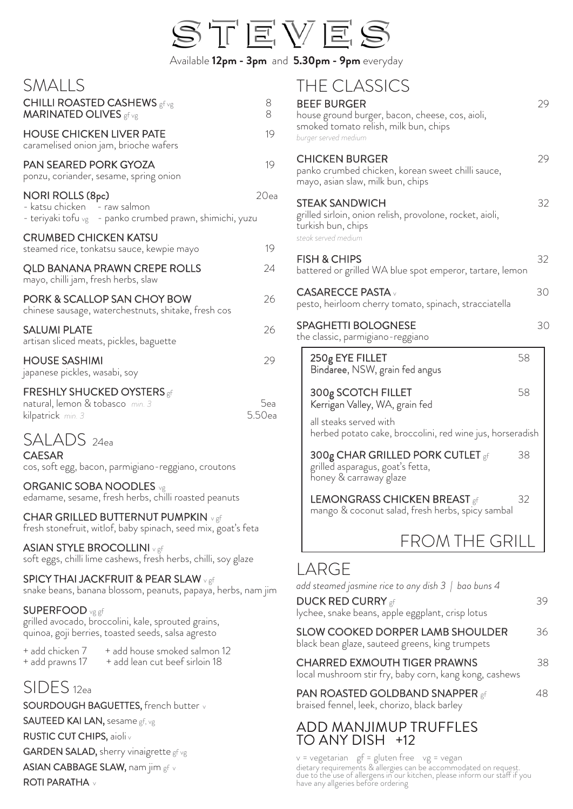

Available **12pm - 3pm** and **5.30pm - 9pm** everyday

#### SMALLS

| JIVIALLJ                                                                                                            |               |
|---------------------------------------------------------------------------------------------------------------------|---------------|
| <b>CHILLI ROASTED CASHEWS</b> gf vg<br><b>MARINATED OLIVES</b> gf vg                                                | 8<br>8        |
| <b>HOUSE CHICKEN LIVER PATE</b><br>caramelised onion jam, brioche wafers                                            | 19            |
| PAN SEARED PORK GYOZA<br>ponzu, coriander, sesame, spring onion                                                     | 19            |
| <b>NORI ROLLS (8pc)</b><br>- katsu chicken - raw salmon<br>- teriyaki tofu vg - panko crumbed prawn, shimichi, yuzu | 20ea          |
| <b>CRUMBED CHICKEN KATSU</b><br>steamed rice, tonkatsu sauce, kewpie mayo                                           | 19            |
| <b>QLD BANANA PRAWN CREPE ROLLS</b><br>mayo, chilli jam, fresh herbs, slaw                                          | 24            |
| PORK & SCALLOP SAN CHOY BOW<br>chinese sausage, waterchestnuts, shitake, fresh cos                                  | 26            |
| <b>SALUMI PLATE</b><br>artisan sliced meats, pickles, baguette                                                      | 26            |
| <b>HOUSE SASHIMI</b><br>japanese pickles, wasabi, soy                                                               | 29            |
| <b>FRESHLY SHUCKED OYSTERS</b> gf<br>natural, lemon & tobasco min. 3<br>kilpatrick min. 3                           | 5ea<br>5.50ea |
| SALADS 24ea<br><b>CAESAR</b><br>cos, soft egg, bacon, parmigiano-reggiano, croutons                                 |               |

ORGANIC SOBA NOODLES vg edamame, sesame, fresh herbs, chilli roasted peanuts

CHAR GRILLED BUTTERNUT PUMPKIN vgf fresh stonefruit, witlof, baby spinach, seed mix, goat's feta

ASIAN STYLE BROCOLLINI v gf soft eggs, chilli lime cashews, fresh herbs, chilli, soy glaze

SPICY THAI JACKFRUIT & PEAR SLAW v gf snake beans, banana blossom, peanuts, papaya, herbs, nam jim

#### SUPERFOOD vg gf

grilled avocado, broccolini, kale, sprouted grains, quinoa, goji berries, toasted seeds, salsa agresto

+ add chicken 7 + add house smoked salmon 12 + add prawns 17 + add lean cut beef sirloin 18

## SIDES 12ea

SOURDOUGH BAGUETTES, french butter v SAUTEED KAI LAN, sesame gf, vg RUSTIC CUT CHIPS, aioliv GARDEN SALAD, sherry vinaigrette gf vg ASIAN CABBAGE SLAW, nam jim gf v ROTI PARATHA v

### THE CLASSICS

| <b>BEEF BURGER</b><br>house ground burger, bacon, cheese, cos, aioli,<br>smoked tomato relish, milk bun, chips<br>burger served medium |    | 29 |
|----------------------------------------------------------------------------------------------------------------------------------------|----|----|
| <b>CHICKEN BURGER</b><br>panko crumbed chicken, korean sweet chilli sauce,<br>mayo, asian slaw, milk bun, chips                        |    | 29 |
| <b>STEAK SANDWICH</b><br>grilled sirloin, onion relish, provolone, rocket, aioli,<br>turkish bun, chips<br>steak served medium         |    | 32 |
| <b>FISH &amp; CHIPS</b><br>battered or grilled WA blue spot emperor, tartare, lemon                                                    |    | 32 |
| <b>CASARECCE PASTA</b><br>pesto, heirloom cherry tomato, spinach, stracciatella                                                        |    | 30 |
| <b>SPAGHETTI BOLOGNESE</b><br>the classic, parmigiano-reggiano                                                                         |    | 30 |
| 250g EYE FILLET<br>Bindaree, NSW, grain fed angus                                                                                      | 58 |    |
|                                                                                                                                        |    |    |
| 300g SCOTCH FILLET<br>Kerrigan Valley, WA, grain fed                                                                                   | 58 |    |
| all steaks served with<br>herbed potato cake, broccolini, red wine jus, horseradish                                                    |    |    |
| 300g CHAR GRILLED PORK CUTLET gf<br>grilled asparagus, goat's fetta,<br>honey & carraway glaze                                         | 38 |    |
| <b>LEMONGRASS CHICKEN BREAST</b> gf<br>mango & coconut salad, fresh herbs, spicy sambal                                                | 32 |    |
| FROM THE GRILL                                                                                                                         |    |    |

|  |  |  |  | add steamed jasmine rice to any dish 3   bao buns 4 |
|--|--|--|--|-----------------------------------------------------|
|--|--|--|--|-----------------------------------------------------|

| <b>DUCK RED CURRY</b> gf |                                                  | 39 |
|--------------------------|--------------------------------------------------|----|
|                          | lychee, snake beans, apple eggplant, crisp lotus |    |

| SLOW COOKED DORPER LAMB SHOULDER | 36 |
|----------------------------------|----|
|                                  |    |

black bean glaze, sauteed greens, king trumpets

| <b>CHARRED EXMOUTH TIGER PRAWNS</b>                    |  |  |
|--------------------------------------------------------|--|--|
| local mushroom stir fry, baby corn, kang kong, cashews |  |  |

| <b>PAN ROASTED GOLDBAND SNAPPER gf</b> | 48 |
|----------------------------------------|----|
|                                        |    |

braised fennel, leek, chorizo, black barley

#### ADD MANJIMUP TRUFFLES TO ANY DISH +12

 $v = v$  vegetarian gf = gluten free vg = vegan dietary requirements & allergies can be accommodated on request. due to´ the'use of allergens in our kitchen, please inform our staff if you<br>have any allgeries before ordering